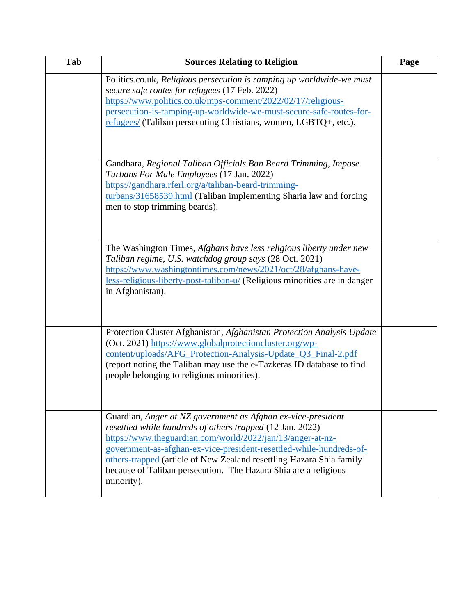| Tab | <b>Sources Relating to Religion</b>                                                                                                                                                                                                                                                                                                                                                                                     | Page |
|-----|-------------------------------------------------------------------------------------------------------------------------------------------------------------------------------------------------------------------------------------------------------------------------------------------------------------------------------------------------------------------------------------------------------------------------|------|
|     | Politics.co.uk, Religious persecution is ramping up worldwide-we must<br>secure safe routes for refugees (17 Feb. 2022)<br>https://www.politics.co.uk/mps-comment/2022/02/17/religious-<br>persecution-is-ramping-up-worldwide-we-must-secure-safe-routes-for-<br>refugees/ (Taliban persecuting Christians, women, LGBTQ+, etc.).                                                                                      |      |
|     | Gandhara, Regional Taliban Officials Ban Beard Trimming, Impose<br>Turbans For Male Employees (17 Jan. 2022)<br>https://gandhara.rferl.org/a/taliban-beard-trimming-<br>turbans/31658539.html (Taliban implementing Sharia law and forcing<br>men to stop trimming beards).                                                                                                                                             |      |
|     | The Washington Times, Afghans have less religious liberty under new<br>Taliban regime, U.S. watchdog group says (28 Oct. 2021)<br>https://www.washingtontimes.com/news/2021/oct/28/afghans-have-<br>less-religious-liberty-post-taliban-u/ (Religious minorities are in danger<br>in Afghanistan).                                                                                                                      |      |
|     | Protection Cluster Afghanistan, Afghanistan Protection Analysis Update<br>(Oct. 2021) https://www.globalprotectioncluster.org/wp-<br>content/uploads/AFG_Protection-Analysis-Update_Q3_Final-2.pdf<br>(report noting the Taliban may use the e-Tazkeras ID database to find<br>people belonging to religious minorities).                                                                                               |      |
|     | Guardian, Anger at NZ government as Afghan ex-vice-president<br>resettled while hundreds of others trapped (12 Jan. 2022)<br>https://www.theguardian.com/world/2022/jan/13/anger-at-nz-<br>government-as-afghan-ex-vice-president-resettled-while-hundreds-of-<br>others-trapped (article of New Zealand resettling Hazara Shia family<br>because of Taliban persecution. The Hazara Shia are a religious<br>minority). |      |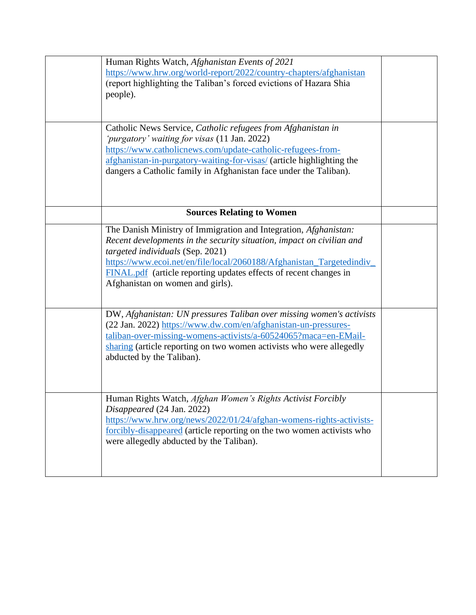| Human Rights Watch, Afghanistan Events of 2021<br>https://www.hrw.org/world-report/2022/country-chapters/afghanistan<br>(report highlighting the Taliban's forced evictions of Hazara Shia<br>people).                                                                                                                                                                 |  |
|------------------------------------------------------------------------------------------------------------------------------------------------------------------------------------------------------------------------------------------------------------------------------------------------------------------------------------------------------------------------|--|
| Catholic News Service, Catholic refugees from Afghanistan in<br>'purgatory' waiting for visas (11 Jan. 2022)<br>https://www.catholicnews.com/update-catholic-refugees-from-<br>afghanistan-in-purgatory-waiting-for-visas/ (article highlighting the<br>dangers a Catholic family in Afghanistan face under the Taliban).                                              |  |
| <b>Sources Relating to Women</b>                                                                                                                                                                                                                                                                                                                                       |  |
| The Danish Ministry of Immigration and Integration, Afghanistan:<br>Recent developments in the security situation, impact on civilian and<br>targeted individuals (Sep. 2021)<br>https://www.ecoi.net/en/file/local/2060188/Afghanistan_Targetedindiv_<br><b>FINAL.pdf</b> (article reporting updates effects of recent changes in<br>Afghanistan on women and girls). |  |
| DW, Afghanistan: UN pressures Taliban over missing women's activists<br>(22 Jan. 2022) https://www.dw.com/en/afghanistan-un-pressures-<br>taliban-over-missing-womens-activists/a-60524065?maca=en-EMail-<br>sharing (article reporting on two women activists who were allegedly<br>abducted by the Taliban).                                                         |  |
| Human Rights Watch, Afghan Women's Rights Activist Forcibly<br>Disappeared (24 Jan. 2022)<br>https://www.hrw.org/news/2022/01/24/afghan-womens-rights-activists-<br>forcibly-disappeared (article reporting on the two women activists who<br>were allegedly abducted by the Taliban).                                                                                 |  |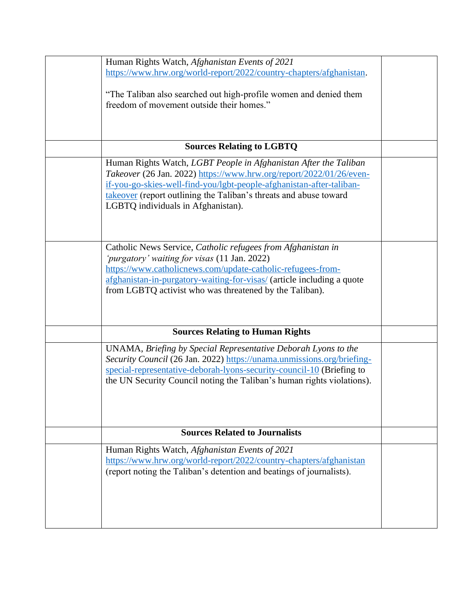| Human Rights Watch, Afghanistan Events of 2021                         |  |
|------------------------------------------------------------------------|--|
| https://www.hrw.org/world-report/2022/country-chapters/afghanistan.    |  |
|                                                                        |  |
| "The Taliban also searched out high-profile women and denied them      |  |
| freedom of movement outside their homes."                              |  |
|                                                                        |  |
|                                                                        |  |
|                                                                        |  |
|                                                                        |  |
| <b>Sources Relating to LGBTQ</b>                                       |  |
| Human Rights Watch, LGBT People in Afghanistan After the Taliban       |  |
| Takeover (26 Jan. 2022) https://www.hrw.org/report/2022/01/26/even-    |  |
| if-you-go-skies-well-find-you/lgbt-people-afghanistan-after-taliban-   |  |
|                                                                        |  |
| takeover (report outlining the Taliban's threats and abuse toward      |  |
| LGBTQ individuals in Afghanistan).                                     |  |
|                                                                        |  |
|                                                                        |  |
|                                                                        |  |
| Catholic News Service, Catholic refugees from Afghanistan in           |  |
| 'purgatory' waiting for visas (11 Jan. 2022)                           |  |
| https://www.catholicnews.com/update-catholic-refugees-from-            |  |
| afghanistan-in-purgatory-waiting-for-visas/ (article including a quote |  |
| from LGBTQ activist who was threatened by the Taliban).                |  |
|                                                                        |  |
|                                                                        |  |
|                                                                        |  |
| <b>Sources Relating to Human Rights</b>                                |  |
|                                                                        |  |
| UNAMA, Briefing by Special Representative Deborah Lyons to the         |  |
| Security Council (26 Jan. 2022) https://unama.unmissions.org/briefing- |  |
| special-representative-deborah-lyons-security-council-10 (Briefing to  |  |
| the UN Security Council noting the Taliban's human rights violations). |  |
|                                                                        |  |
|                                                                        |  |
|                                                                        |  |
|                                                                        |  |
| <b>Sources Related to Journalists</b>                                  |  |
|                                                                        |  |
| Human Rights Watch, Afghanistan Events of 2021                         |  |
| https://www.hrw.org/world-report/2022/country-chapters/afghanistan     |  |
| (report noting the Taliban's detention and beatings of journalists).   |  |
|                                                                        |  |
|                                                                        |  |
|                                                                        |  |
|                                                                        |  |
|                                                                        |  |
|                                                                        |  |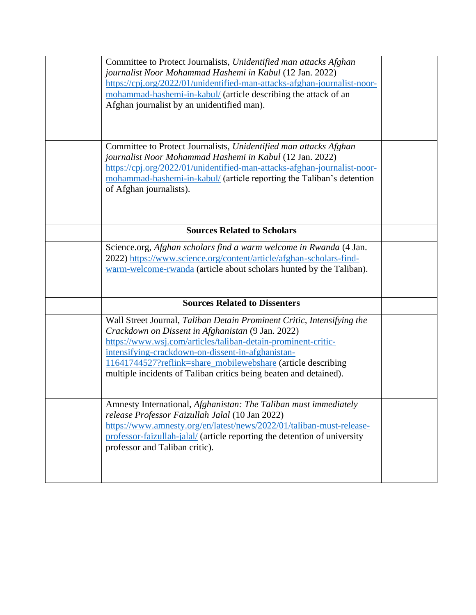| Committee to Protect Journalists, Unidentified man attacks Afghan<br>journalist Noor Mohammad Hashemi in Kabul (12 Jan. 2022)<br>https://cpj.org/2022/01/unidentified-man-attacks-afghan-journalist-noor-<br>mohammad-hashemi-in-kabul/ (article describing the attack of an<br>Afghan journalist by an unidentified man).                                                             |  |
|----------------------------------------------------------------------------------------------------------------------------------------------------------------------------------------------------------------------------------------------------------------------------------------------------------------------------------------------------------------------------------------|--|
| Committee to Protect Journalists, Unidentified man attacks Afghan<br>journalist Noor Mohammad Hashemi in Kabul (12 Jan. 2022)<br>https://cpj.org/2022/01/unidentified-man-attacks-afghan-journalist-noor-<br>mohammad-hashemi-in-kabul/ (article reporting the Taliban's detention<br>of Afghan journalists).                                                                          |  |
| <b>Sources Related to Scholars</b>                                                                                                                                                                                                                                                                                                                                                     |  |
| Science.org, Afghan scholars find a warm welcome in Rwanda (4 Jan.<br>2022) https://www.science.org/content/article/afghan-scholars-find-<br>warm-welcome-rwanda (article about scholars hunted by the Taliban).                                                                                                                                                                       |  |
| <b>Sources Related to Dissenters</b>                                                                                                                                                                                                                                                                                                                                                   |  |
| Wall Street Journal, Taliban Detain Prominent Critic, Intensifying the<br>Crackdown on Dissent in Afghanistan (9 Jan. 2022)<br>https://www.wsj.com/articles/taliban-detain-prominent-critic-<br>intensifying-crackdown-on-dissent-in-afghanistan-<br>11641744527?reflink=share_mobilewebshare (article describing<br>multiple incidents of Taliban critics being beaten and detained). |  |
| Amnesty International, Afghanistan: The Taliban must immediately<br>release Professor Faizullah Jalal (10 Jan 2022)<br>https://www.amnesty.org/en/latest/news/2022/01/taliban-must-release-<br>professor-faizullah-jalal/ (article reporting the detention of university<br>professor and Taliban critic).                                                                             |  |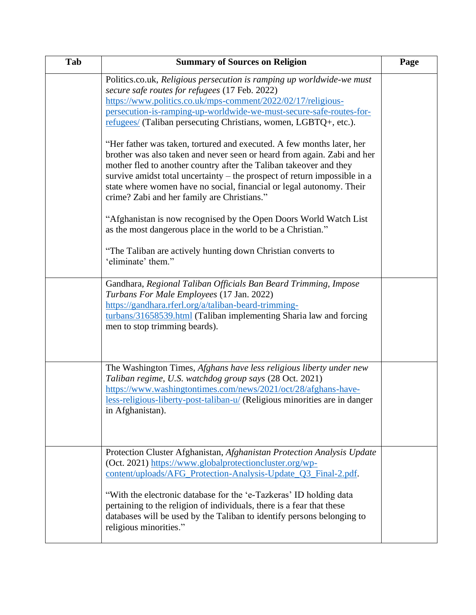| Tab | <b>Summary of Sources on Religion</b>                                                                                                                                                                                                                                                                                                                                                                                      | Page |
|-----|----------------------------------------------------------------------------------------------------------------------------------------------------------------------------------------------------------------------------------------------------------------------------------------------------------------------------------------------------------------------------------------------------------------------------|------|
|     | Politics.co.uk, Religious persecution is ramping up worldwide-we must<br>secure safe routes for refugees (17 Feb. 2022)<br>https://www.politics.co.uk/mps-comment/2022/02/17/religious-<br>persecution-is-ramping-up-worldwide-we-must-secure-safe-routes-for-                                                                                                                                                             |      |
|     | refugees/ (Taliban persecuting Christians, women, LGBTQ+, etc.).                                                                                                                                                                                                                                                                                                                                                           |      |
|     | "Her father was taken, tortured and executed. A few months later, her<br>brother was also taken and never seen or heard from again. Zabi and her<br>mother fled to another country after the Taliban takeover and they<br>survive amidst total uncertainty – the prospect of return impossible in a<br>state where women have no social, financial or legal autonomy. Their<br>crime? Zabi and her family are Christians." |      |
|     | "Afghanistan is now recognised by the Open Doors World Watch List<br>as the most dangerous place in the world to be a Christian."                                                                                                                                                                                                                                                                                          |      |
|     | "The Taliban are actively hunting down Christian converts to<br>'eliminate' them."                                                                                                                                                                                                                                                                                                                                         |      |
|     | Gandhara, Regional Taliban Officials Ban Beard Trimming, Impose<br>Turbans For Male Employees (17 Jan. 2022)<br>https://gandhara.rferl.org/a/taliban-beard-trimming-<br>turbans/31658539.html (Taliban implementing Sharia law and forcing<br>men to stop trimming beards).                                                                                                                                                |      |
|     | The Washington Times, Afghans have less religious liberty under new<br>Taliban regime, U.S. watchdog group says (28 Oct. 2021)<br>https://www.washingtontimes.com/news/2021/oct/28/afghans-have-<br>less-religious-liberty-post-taliban-u/ (Religious minorities are in danger<br>in Afghanistan).                                                                                                                         |      |
|     | Protection Cluster Afghanistan, Afghanistan Protection Analysis Update<br>(Oct. 2021) https://www.globalprotectioncluster.org/wp-<br>content/uploads/AFG_Protection-Analysis-Update_Q3_Final-2.pdf.                                                                                                                                                                                                                        |      |
|     | "With the electronic database for the 'e-Tazkeras' ID holding data<br>pertaining to the religion of individuals, there is a fear that these<br>databases will be used by the Taliban to identify persons belonging to<br>religious minorities."                                                                                                                                                                            |      |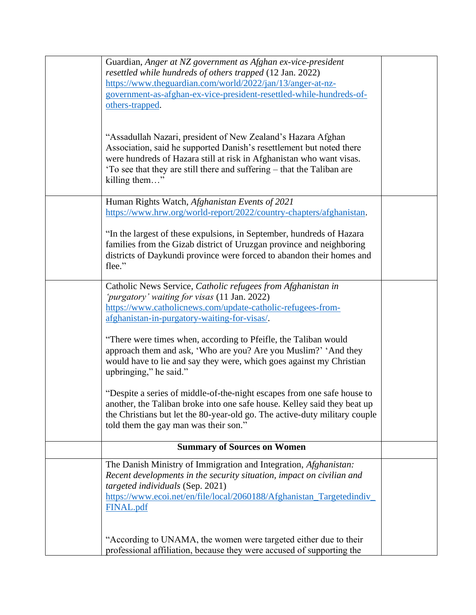| Guardian, Anger at NZ government as Afghan ex-vice-president                                              |  |
|-----------------------------------------------------------------------------------------------------------|--|
| resettled while hundreds of others trapped (12 Jan. 2022)                                                 |  |
| https://www.theguardian.com/world/2022/jan/13/anger-at-nz-                                                |  |
| government-as-afghan-ex-vice-president-resettled-while-hundreds-of-<br>others-trapped.                    |  |
|                                                                                                           |  |
|                                                                                                           |  |
| "Assadullah Nazari, president of New Zealand's Hazara Afghan                                              |  |
| Association, said he supported Danish's resettlement but noted there                                      |  |
| were hundreds of Hazara still at risk in Afghanistan who want visas.                                      |  |
| 'To see that they are still there and suffering – that the Taliban are                                    |  |
| killing them"                                                                                             |  |
|                                                                                                           |  |
| Human Rights Watch, Afghanistan Events of 2021                                                            |  |
| https://www.hrw.org/world-report/2022/country-chapters/afghanistan.                                       |  |
| "In the largest of these expulsions, in September, hundreds of Hazara                                     |  |
| families from the Gizab district of Uruzgan province and neighboring                                      |  |
| districts of Daykundi province were forced to abandon their homes and                                     |  |
| flee."                                                                                                    |  |
|                                                                                                           |  |
| Catholic News Service, Catholic refugees from Afghanistan in                                              |  |
| 'purgatory' waiting for visas (11 Jan. 2022)                                                              |  |
| https://www.catholicnews.com/update-catholic-refugees-from-                                               |  |
| afghanistan-in-purgatory-waiting-for-visas/.                                                              |  |
| "There were times when, according to Pfeifle, the Taliban would                                           |  |
| approach them and ask, 'Who are you? Are you Muslim?' 'And they                                           |  |
| would have to lie and say they were, which goes against my Christian                                      |  |
| upbringing," he said."                                                                                    |  |
|                                                                                                           |  |
| "Despite a series of middle-of-the-night escapes from one safe house to                                   |  |
| another, the Taliban broke into one safe house. Kelley said they beat up                                  |  |
| the Christians but let the 80-year-old go. The active-duty military couple                                |  |
| told them the gay man was their son."                                                                     |  |
| <b>Summary of Sources on Women</b>                                                                        |  |
|                                                                                                           |  |
| The Danish Ministry of Immigration and Integration, Afghanistan:                                          |  |
| Recent developments in the security situation, impact on civilian and<br>targeted individuals (Sep. 2021) |  |
| https://www.ecoi.net/en/file/local/2060188/Afghanistan_Targetedindiv_                                     |  |
| FINAL.pdf                                                                                                 |  |
|                                                                                                           |  |
|                                                                                                           |  |
| "According to UNAMA, the women were targeted either due to their                                          |  |
| professional affiliation, because they were accused of supporting the                                     |  |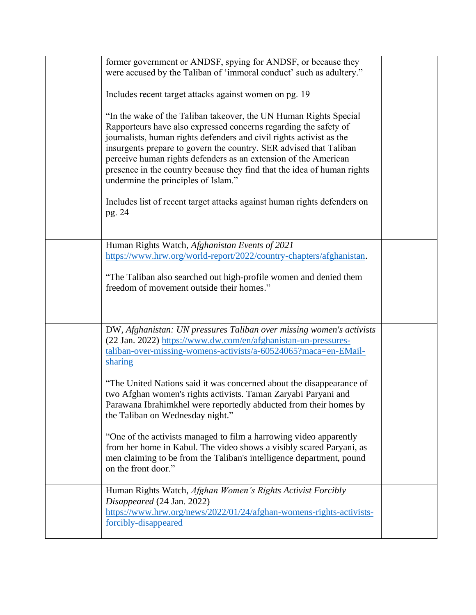| former government or ANDSF, spying for ANDSF, or because they            |  |
|--------------------------------------------------------------------------|--|
| were accused by the Taliban of 'immoral conduct' such as adultery."      |  |
|                                                                          |  |
| Includes recent target attacks against women on pg. 19                   |  |
|                                                                          |  |
| "In the wake of the Taliban takeover, the UN Human Rights Special        |  |
| Rapporteurs have also expressed concerns regarding the safety of         |  |
| journalists, human rights defenders and civil rights activist as the     |  |
|                                                                          |  |
| insurgents prepare to govern the country. SER advised that Taliban       |  |
| perceive human rights defenders as an extension of the American          |  |
| presence in the country because they find that the idea of human rights  |  |
| undermine the principles of Islam."                                      |  |
|                                                                          |  |
| Includes list of recent target attacks against human rights defenders on |  |
| pg. 24                                                                   |  |
|                                                                          |  |
|                                                                          |  |
| Human Rights Watch, Afghanistan Events of 2021                           |  |
| https://www.hrw.org/world-report/2022/country-chapters/afghanistan.      |  |
|                                                                          |  |
| "The Taliban also searched out high-profile women and denied them        |  |
|                                                                          |  |
| freedom of movement outside their homes."                                |  |
|                                                                          |  |
|                                                                          |  |
| DW, Afghanistan: UN pressures Taliban over missing women's activists     |  |
|                                                                          |  |
| (22 Jan. 2022) https://www.dw.com/en/afghanistan-un-pressures-           |  |
| taliban-over-missing-womens-activists/a-60524065?maca=en-EMail-          |  |
| sharing                                                                  |  |
|                                                                          |  |
| "The United Nations said it was concerned about the disappearance of     |  |
| two Afghan women's rights activists. Taman Zaryabi Paryani and           |  |
| Parawana Ibrahimkhel were reportedly abducted from their homes by        |  |
| the Taliban on Wednesday night."                                         |  |
|                                                                          |  |
| "One of the activists managed to film a harrowing video apparently       |  |
| from her home in Kabul. The video shows a visibly scared Paryani, as     |  |
| men claiming to be from the Taliban's intelligence department, pound     |  |
| on the front door."                                                      |  |
|                                                                          |  |
| Human Rights Watch, Afghan Women's Rights Activist Forcibly              |  |
| Disappeared (24 Jan. 2022)                                               |  |
| https://www.hrw.org/news/2022/01/24/afghan-womens-rights-activists-      |  |
| forcibly-disappeared                                                     |  |
|                                                                          |  |
|                                                                          |  |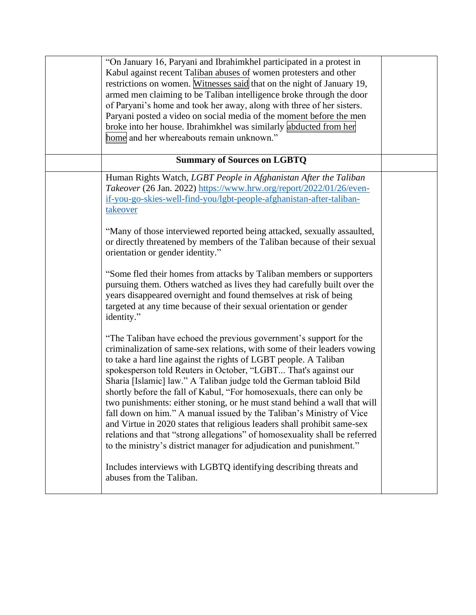| "On January 16, Paryani and Ibrahimkhel participated in a protest in       |  |
|----------------------------------------------------------------------------|--|
| Kabul against recent Taliban abuses of women protesters and other          |  |
| restrictions on women. Witnesses said that on the night of January 19,     |  |
| armed men claiming to be Taliban intelligence broke through the door       |  |
| of Paryani's home and took her away, along with three of her sisters.      |  |
| Paryani posted a video on social media of the moment before the men        |  |
| broke into her house. Ibrahimkhel was similarly abducted from her          |  |
| home and her whereabouts remain unknown."                                  |  |
|                                                                            |  |
| <b>Summary of Sources on LGBTQ</b>                                         |  |
| Human Rights Watch, LGBT People in Afghanistan After the Taliban           |  |
| Takeover (26 Jan. 2022) https://www.hrw.org/report/2022/01/26/even-        |  |
| if-you-go-skies-well-find-you/lgbt-people-afghanistan-after-taliban-       |  |
| takeover                                                                   |  |
|                                                                            |  |
| "Many of those interviewed reported being attacked, sexually assaulted,    |  |
| or directly threatened by members of the Taliban because of their sexual   |  |
| orientation or gender identity."                                           |  |
|                                                                            |  |
| "Some fled their homes from attacks by Taliban members or supporters       |  |
| pursuing them. Others watched as lives they had carefully built over the   |  |
| years disappeared overnight and found themselves at risk of being          |  |
| targeted at any time because of their sexual orientation or gender         |  |
| identity."                                                                 |  |
|                                                                            |  |
| "The Taliban have echoed the previous government's support for the         |  |
| criminalization of same-sex relations, with some of their leaders vowing   |  |
| to take a hard line against the rights of LGBT people. A Taliban           |  |
| spokesperson told Reuters in October, "LGBT That's against our             |  |
| Sharia [Islamic] law." A Taliban judge told the German tabloid Bild        |  |
| shortly before the fall of Kabul, "For homosexuals, there can only be      |  |
| two punishments: either stoning, or he must stand behind a wall that will  |  |
| fall down on him." A manual issued by the Taliban's Ministry of Vice       |  |
| and Virtue in 2020 states that religious leaders shall prohibit same-sex   |  |
| relations and that "strong allegations" of homosexuality shall be referred |  |
| to the ministry's district manager for adjudication and punishment."       |  |
|                                                                            |  |
| Includes interviews with LGBTQ identifying describing threats and          |  |
| abuses from the Taliban.                                                   |  |
|                                                                            |  |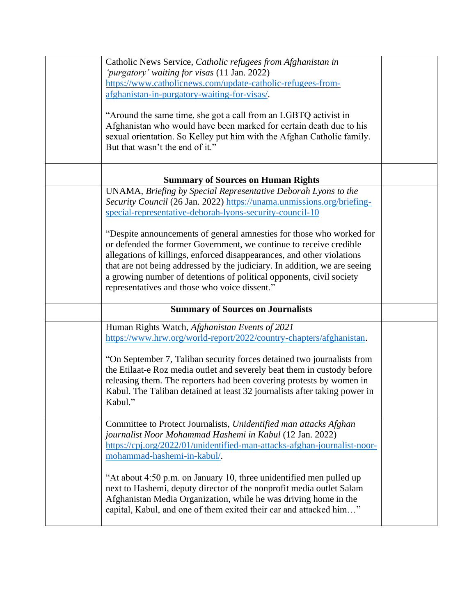| Catholic News Service, Catholic refugees from Afghanistan in<br>'purgatory' waiting for visas (11 Jan. 2022)<br>https://www.catholicnews.com/update-catholic-refugees-from-<br>afghanistan-in-purgatory-waiting-for-visas/.<br>"Around the same time, she got a call from an LGBTQ activist in<br>Afghanistan who would have been marked for certain death due to his<br>sexual orientation. So Kelley put him with the Afghan Catholic family.<br>But that wasn't the end of it."                                                                                                                                                 |  |
|------------------------------------------------------------------------------------------------------------------------------------------------------------------------------------------------------------------------------------------------------------------------------------------------------------------------------------------------------------------------------------------------------------------------------------------------------------------------------------------------------------------------------------------------------------------------------------------------------------------------------------|--|
| <b>Summary of Sources on Human Rights</b>                                                                                                                                                                                                                                                                                                                                                                                                                                                                                                                                                                                          |  |
| UNAMA, Briefing by Special Representative Deborah Lyons to the<br>Security Council (26 Jan. 2022) https://unama.unmissions.org/briefing-<br>special-representative-deborah-lyons-security-council-10<br>"Despite announcements of general amnesties for those who worked for<br>or defended the former Government, we continue to receive credible<br>allegations of killings, enforced disappearances, and other violations<br>that are not being addressed by the judiciary. In addition, we are seeing<br>a growing number of detentions of political opponents, civil society<br>representatives and those who voice dissent." |  |
| <b>Summary of Sources on Journalists</b>                                                                                                                                                                                                                                                                                                                                                                                                                                                                                                                                                                                           |  |
| Human Rights Watch, Afghanistan Events of 2021<br>https://www.hrw.org/world-report/2022/country-chapters/afghanistan.<br>"On September 7, Taliban security forces detained two journalists from<br>the Etilaat-e Roz media outlet and severely beat them in custody before<br>releasing them. The reporters had been covering protests by women in<br>Kabul. The Taliban detained at least 32 journalists after taking power in<br>Kabul."                                                                                                                                                                                         |  |
| Committee to Protect Journalists, Unidentified man attacks Afghan<br>journalist Noor Mohammad Hashemi in Kabul (12 Jan. 2022)<br>https://cpj.org/2022/01/unidentified-man-attacks-afghan-journalist-noor-<br>mohammad-hashemi-in-kabul/.<br>"At about 4:50 p.m. on January 10, three unidentified men pulled up<br>next to Hashemi, deputy director of the nonprofit media outlet Salam<br>Afghanistan Media Organization, while he was driving home in the<br>capital, Kabul, and one of them exited their car and attacked him"                                                                                                  |  |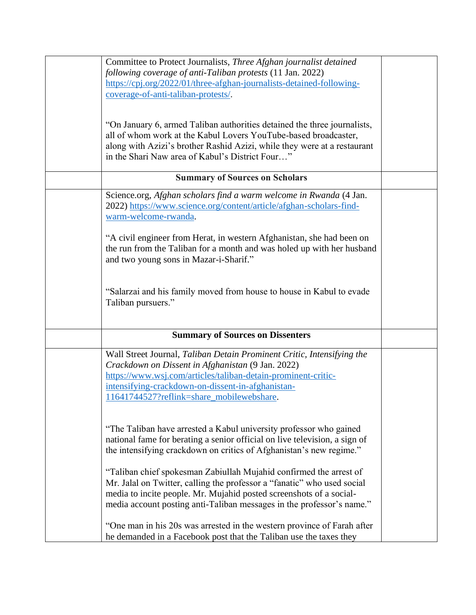| Committee to Protect Journalists, Three Afghan journalist detained<br>following coverage of anti-Taliban protests (11 Jan. 2022)                                                                                                                                                               |  |
|------------------------------------------------------------------------------------------------------------------------------------------------------------------------------------------------------------------------------------------------------------------------------------------------|--|
| https://cpj.org/2022/01/three-afghan-journalists-detained-following-<br>coverage-of-anti-taliban-protests/.                                                                                                                                                                                    |  |
| "On January 6, armed Taliban authorities detained the three journalists,<br>all of whom work at the Kabul Lovers YouTube-based broadcaster,<br>along with Azizi's brother Rashid Azizi, while they were at a restaurant<br>in the Shari Naw area of Kabul's District Four"                     |  |
| <b>Summary of Sources on Scholars</b>                                                                                                                                                                                                                                                          |  |
| Science.org, Afghan scholars find a warm welcome in Rwanda (4 Jan.<br>2022) https://www.science.org/content/article/afghan-scholars-find-<br>warm-welcome-rwanda.                                                                                                                              |  |
| "A civil engineer from Herat, in western Afghanistan, she had been on<br>the run from the Taliban for a month and was holed up with her husband<br>and two young sons in Mazar-i-Sharif."                                                                                                      |  |
| "Salarzai and his family moved from house to house in Kabul to evade<br>Taliban pursuers."                                                                                                                                                                                                     |  |
| <b>Summary of Sources on Dissenters</b>                                                                                                                                                                                                                                                        |  |
| Wall Street Journal, Taliban Detain Prominent Critic, Intensifying the<br>Crackdown on Dissent in Afghanistan (9 Jan. 2022)<br>https://www.wsj.com/articles/taliban-detain-prominent-critic-<br>intensifying-crackdown-on-dissent-in-afghanistan-<br>11641744527?reflink=share_mobilewebshare. |  |
| "The Taliban have arrested a Kabul university professor who gained<br>national fame for berating a senior official on live television, a sign of<br>the intensifying crackdown on critics of Afghanistan's new regime."                                                                        |  |
| "Taliban chief spokesman Zabiullah Mujahid confirmed the arrest of<br>Mr. Jalal on Twitter, calling the professor a "fanatic" who used social<br>media to incite people. Mr. Mujahid posted screenshots of a social-<br>media account posting anti-Taliban messages in the professor's name."  |  |
| "One man in his 20s was arrested in the western province of Farah after<br>he demanded in a Facebook post that the Taliban use the taxes they                                                                                                                                                  |  |